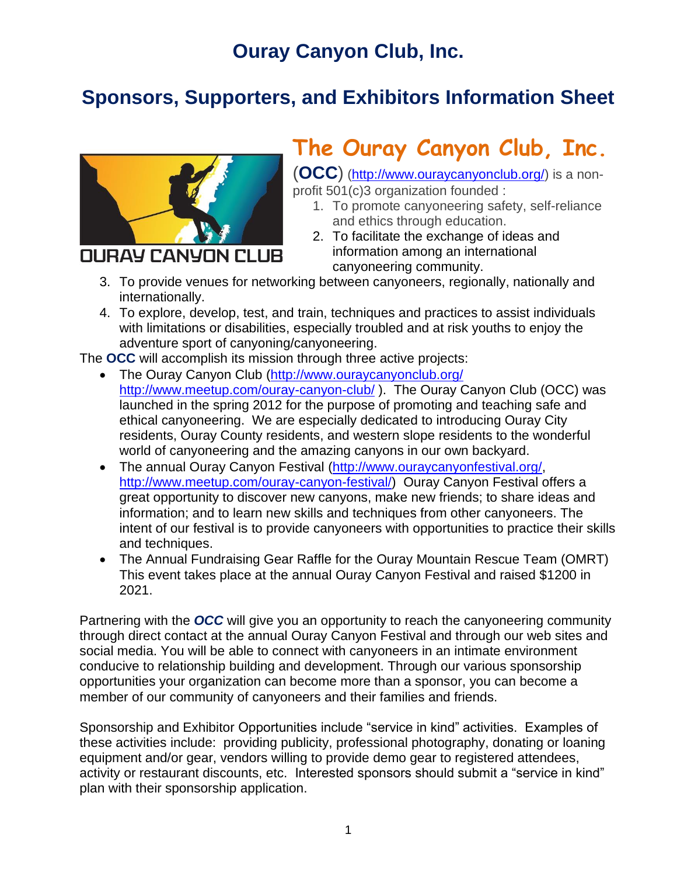# **Ouray Canyon Club, Inc.**

# **Sponsors, Supporters, and Exhibitors Information Sheet**



# **The Ouray Canyon Club, Inc.**

(**OCC**) [\(http://www.ouraycanyonclub.org/\)](http://www.ouraycanyonclub.org/) is a nonprofit 501(c)3 organization founded :

- 1. To promote canyoneering safety, self-reliance and ethics through education.
- 2. To facilitate the exchange of ideas and information among an international canyoneering community.
- 3. To provide venues for networking between canyoneers, regionally, nationally and internationally.
- 4. To explore, develop, test, and train, techniques and practices to assist individuals with limitations or disabilities, especially troubled and at risk youths to enjoy the adventure sport of canyoning/canyoneering.

The **OCC** will accomplish its mission through three active projects:

- The Ouray Canyon Club [\(http://www.ouraycanyonclub.org/](http://www.ouraycanyonclub.org/) <http://www.meetup.com/ouray-canyon-club/> ). The Ouray Canyon Club (OCC) was launched in the spring 2012 for the purpose of promoting and teaching safe and ethical canyoneering. We are especially dedicated to introducing Ouray City residents, Ouray County residents, and western slope residents to the wonderful world of canyoneering and the amazing canyons in our own backyard.
- The annual Ouray Canyon Festival [\(http://www.ouraycanyonfestival.org/,](http://www.ouraycanyonfestival.org/) [http://www.meetup.com/ouray-canyon-festival/\)](http://www.meetup.com/ouray-canyon-festival/) Ouray Canyon Festival offers a great opportunity to discover new canyons, make new friends; to share ideas and information; and to learn new skills and techniques from other canyoneers. The intent of our festival is to provide canyoneers with opportunities to practice their skills and techniques.
- The Annual Fundraising Gear Raffle for the Ouray Mountain Rescue Team (OMRT) This event takes place at the annual Ouray Canyon Festival and raised \$1200 in 2021.

Partnering with the *OCC* will give you an opportunity to reach the canyoneering community through direct contact at the annual Ouray Canyon Festival and through our web sites and social media. You will be able to connect with canyoneers in an intimate environment conducive to relationship building and development. Through our various sponsorship opportunities your organization can become more than a sponsor, you can become a member of our community of canyoneers and their families and friends.

Sponsorship and Exhibitor Opportunities include "service in kind" activities. Examples of these activities include: providing publicity, professional photography, donating or loaning equipment and/or gear, vendors willing to provide demo gear to registered attendees, activity or restaurant discounts, etc. Interested sponsors should submit a "service in kind" plan with their sponsorship application.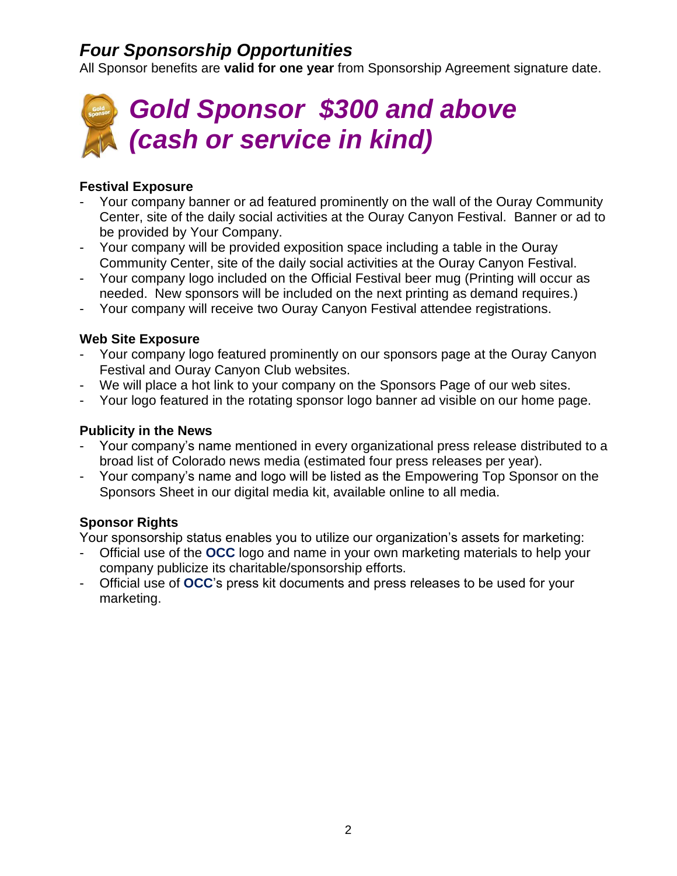# *Four Sponsorship Opportunities*

All Sponsor benefits are **valid for one year** from Sponsorship Agreement signature date.



#### **Festival Exposure**

- Your company banner or ad featured prominently on the wall of the Ouray Community Center, site of the daily social activities at the Ouray Canyon Festival. Banner or ad to be provided by Your Company.
- Your company will be provided exposition space including a table in the Ouray Community Center, site of the daily social activities at the Ouray Canyon Festival.
- Your company logo included on the Official Festival beer mug (Printing will occur as needed. New sponsors will be included on the next printing as demand requires.)
- Your company will receive two Ouray Canyon Festival attendee registrations.

#### **Web Site Exposure**

- Your company logo featured prominently on our sponsors page at the Ouray Canyon Festival and Ouray Canyon Club websites.
- We will place a hot link to your company on the Sponsors Page of our web sites.
- Your logo featured in the rotating sponsor logo banner ad visible on our home page.

#### **Publicity in the News**

- Your company's name mentioned in every organizational press release distributed to a broad list of Colorado news media (estimated four press releases per year).
- Your company's name and logo will be listed as the Empowering Top Sponsor on the Sponsors Sheet in our digital media kit, available online to all media.

#### **Sponsor Rights**

Your sponsorship status enables you to utilize our organization's assets for marketing:

- Official use of the **OCC** logo and name in your own marketing materials to help your company publicize its charitable/sponsorship efforts.
- Official use of **OCC**'s press kit documents and press releases to be used for your marketing.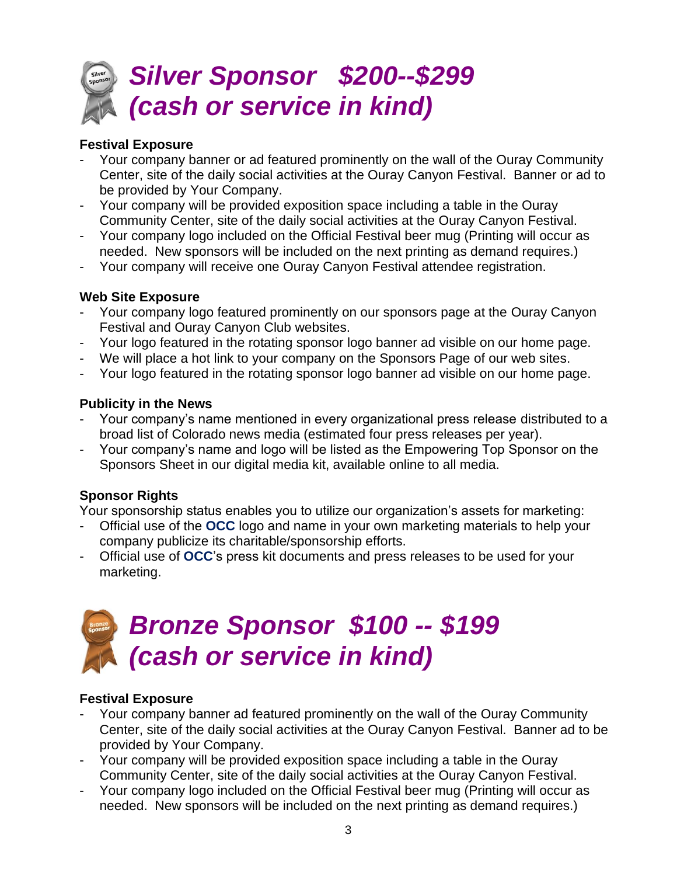

#### **Festival Exposure**

- Your company banner or ad featured prominently on the wall of the Ouray Community Center, site of the daily social activities at the Ouray Canyon Festival. Banner or ad to be provided by Your Company.
- Your company will be provided exposition space including a table in the Ouray Community Center, site of the daily social activities at the Ouray Canyon Festival.
- Your company logo included on the Official Festival beer mug (Printing will occur as needed. New sponsors will be included on the next printing as demand requires.)
- Your company will receive one Ouray Canyon Festival attendee registration.

#### **Web Site Exposure**

- Your company logo featured prominently on our sponsors page at the Ouray Canyon Festival and Ouray Canyon Club websites.
- Your logo featured in the rotating sponsor logo banner ad visible on our home page.
- We will place a hot link to your company on the Sponsors Page of our web sites.
- Your logo featured in the rotating sponsor logo banner ad visible on our home page.

#### **Publicity in the News**

- Your company's name mentioned in every organizational press release distributed to a broad list of Colorado news media (estimated four press releases per year).
- Your company's name and logo will be listed as the Empowering Top Sponsor on the Sponsors Sheet in our digital media kit, available online to all media.

#### **Sponsor Rights**

Your sponsorship status enables you to utilize our organization's assets for marketing:

- Official use of the **OCC** logo and name in your own marketing materials to help your company publicize its charitable/sponsorship efforts.
- Official use of **OCC**'s press kit documents and press releases to be used for your marketing.

# *Bronze Sponsor \$100 -- \$199 (cash or service in kind)*

#### **Festival Exposure**

- Your company banner ad featured prominently on the wall of the Ouray Community Center, site of the daily social activities at the Ouray Canyon Festival. Banner ad to be provided by Your Company.
- Your company will be provided exposition space including a table in the Ouray Community Center, site of the daily social activities at the Ouray Canyon Festival.
- Your company logo included on the Official Festival beer mug (Printing will occur as needed. New sponsors will be included on the next printing as demand requires.)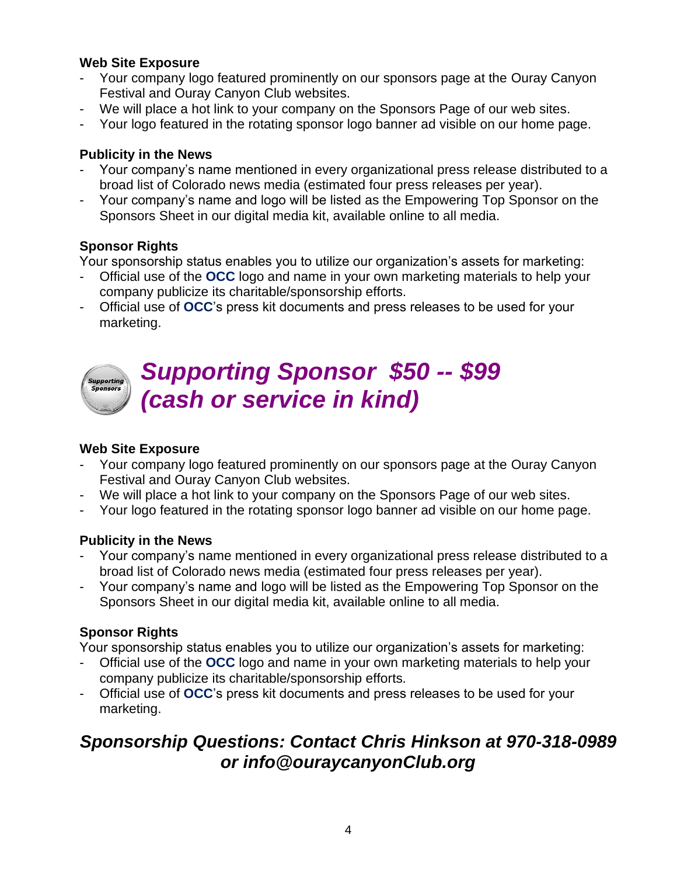#### **Web Site Exposure**

- Your company logo featured prominently on our sponsors page at the Ouray Canyon Festival and Ouray Canyon Club websites.
- We will place a hot link to your company on the Sponsors Page of our web sites.
- Your logo featured in the rotating sponsor logo banner ad visible on our home page.

#### **Publicity in the News**

- Your company's name mentioned in every organizational press release distributed to a broad list of Colorado news media (estimated four press releases per year).
- Your company's name and logo will be listed as the Empowering Top Sponsor on the Sponsors Sheet in our digital media kit, available online to all media.

#### **Sponsor Rights**

Your sponsorship status enables you to utilize our organization's assets for marketing:

- Official use of the **OCC** logo and name in your own marketing materials to help your company publicize its charitable/sponsorship efforts.
- Official use of **OCC**'s press kit documents and press releases to be used for your marketing.



# *Supporting Sponsor \$50 -- \$99 (cash or service in kind)*

#### **Web Site Exposure**

- Your company logo featured prominently on our sponsors page at the Ouray Canyon Festival and Ouray Canyon Club websites.
- We will place a hot link to your company on the Sponsors Page of our web sites.
- Your logo featured in the rotating sponsor logo banner ad visible on our home page.

#### **Publicity in the News**

- Your company's name mentioned in every organizational press release distributed to a broad list of Colorado news media (estimated four press releases per year).
- Your company's name and logo will be listed as the Empowering Top Sponsor on the Sponsors Sheet in our digital media kit, available online to all media.

#### **Sponsor Rights**

Your sponsorship status enables you to utilize our organization's assets for marketing:

- Official use of the **OCC** logo and name in your own marketing materials to help your company publicize its charitable/sponsorship efforts.
- Official use of OCC's press kit documents and press releases to be used for your marketing.

# *Sponsorship Questions: Contact Chris Hinkson at 970-318-0989 or info@ouraycanyonClub.org*